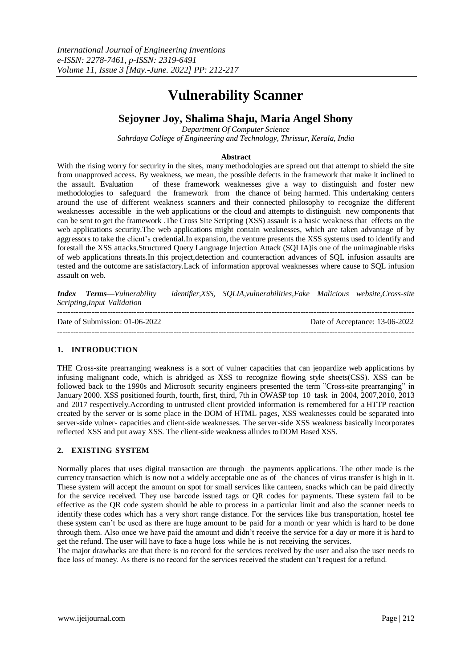# **Vulnerability Scanner**

# **Sejoyner Joy, Shalima Shaju, Maria Angel Shony**

*Department Of Computer Science Sahrdaya College of Engineering and Technology, Thrissur, Kerala, India*

#### **Abstract**

With the rising worry for security in the sites, many methodologies are spread out that attempt to shield the site from unapproved access. By weakness, we mean, the possible defects in the framework that make it inclined to the assault. Evaluation of these framework weaknesses give a way to distinguish and foster new methodologies to safeguard the framework from the chance of being harmed. This undertaking centers around the use of different weakness scanners and their connected philosophy to recognize the different weaknesses accessible in the web applications or the cloud and attempts to distinguish new components that can be sent to get the framework .The Cross Site Scripting (XSS) assault is a basic weakness that effects on the web applications security.The web applications might contain weaknesses, which are taken advantage of by aggressors to take the client's credential.In expansion, the venture presents the XSS systems used to identify and forestall the XSS attacks.Structured Query Language Injection Attack (SQLIA)is one of the unimaginable risks of web applications threats.In this project,detection and counteraction advances of SQL infusion assaults are tested and the outcome are satisfactory.Lack of information approval weaknesses where cause to SQL infusion assault on web.

*Index Terms—Vulnerability identifier,XSS, SQLIA,vulnerabilities,Fake Malicious website,Cross-site Scripting,Input Validation*

---------------------------------------------------------------------------------------------------------------------------------------

Date of Submission: 01-06-2022 Date of Acceptance: 13-06-2022 ---------------------------------------------------------------------------------------------------------------------------------------

# **1. INTRODUCTION**

THE Cross-site prearranging weakness is a sort of vulner capacities that can jeopardize web applications by infusing malignant code, which is abridged as XSS to recognize flowing style sheets(CSS). XSS can be followed back to the 1990s and Microsoft security engineers presented the term "Cross-site prearranging" in January 2000. XSS positioned fourth, fourth, first, third, 7th in OWASP top 10 task in 2004, 2007,2010, 2013 and 2017 respectively.According to untrusted client provided information is remembered for a HTTP reaction created by the server or is some place in the DOM of HTML pages, XSS weaknesses could be separated into server-side vulner- capacities and client-side weaknesses. The server-side XSS weakness basically incorporates reflected XSS and put away XSS. The client-side weakness alludes to DOM Based XSS.

#### **2. EXISTING SYSTEM**

Normally places that uses digital transaction are through the payments applications. The other mode is the currency transaction which is now not a widely acceptable one as of the chances of virus transfer is high in it. These system will accept the amount on spot for small services like canteen, snacks which can be paid directly for the service received. They use barcode issued tags or QR codes for payments. These system fail to be effective as the QR code system should be able to process in a particular limit and also the scanner needs to identify these codes which has a very short range distance. For the services like bus transportation, hostel fee these system can't be used as there are huge amount to be paid for a month or year which is hard to be done through them. Also once we have paid the amount and didn't receive the service for a day or more it is hard to get the refund. The user will have to face a huge loss while he is not receiving the services.

The major drawbacks are that there is no record for the services received by the user and also the user needs to face loss of money. As there is no record for the services received the student can't request for a refund.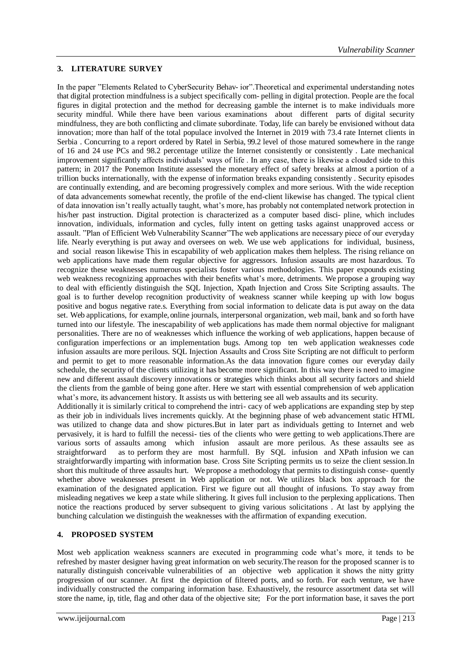### **3. LITERATURE SURVEY**

In the paper "Elements Related to CyberSecurity Behav- ior".Theoretical and experimental understanding notes that digital protection mindfulness is a subject specifically com- pelling in digital protection. People are the focal figures in digital protection and the method for decreasing gamble the internet is to make individuals more security mindful. While there have been various examinations about different parts of digital security mindfulness, they are both conflicting and climate subordinate. Today, life can barely be envisioned without data innovation; more than half of the total populace involved the Internet in 2019 with 73.4 rate Internet clients in Serbia . Concurring to a report ordered by Ratel in Serbia, 99.2 level of those matured somewhere in the range of 16 and 24 use PCs and 98.2 percentage utilize the Internet consistently or consistently . Late mechanical improvement significantly affects individuals' ways of life . In any case, there is likewise a clouded side to this pattern; in 2017 the Ponemon Institute assessed the monetary effect of safety breaks at almost a portion of a trillion bucks internationally, with the expense of information breaks expanding consistently . Security episodes are continually extending, and are becoming progressively complex and more serious. With the wide reception of data advancements somewhat recently, the profile of the end-client likewise has changed. The typical client of data innovation isn't really actually taught, what's more, has probably not contemplated network protection in his/her past instruction. Digital protection is characterized as a computer based disci- pline, which includes innovation, individuals, information and cycles, fully intent on getting tasks against unapproved access or assault. "Plan of Efficient Web Vulnerability Scanner"The web applications are necessary piece of our everyday life. Nearly everything is put away and oversees on web. We use web applications for individual, business, and social reason likewise This in escapability of web application makes them helpless. The rising reliance on web applications have made them regular objective for aggressors. Infusion assaults are most hazardous. To recognize these weaknesses numerous specialists foster various methodologies. This paper expounds existing web weakness recognizing approaches with their benefits what's more, detriments. We propose a grouping way to deal with efficiently distinguish the SQL Injection, Xpath Injection and Cross Site Scripting assaults. The goal is to further develop recognition productivity of weakness scanner while keeping up with low bogus positive and bogus negative rate.s. Everything from social information to delicate data is put away on the data set. Web applications, for example,online journals, interpersonal organization, web mail, bank and so forth have turned into our lifestyle. The inescapability of web applications has made them normal objective for malignant personalities. There are no of weaknesses which influence the working of web applications, happen because of configuration imperfections or an implementation bugs. Among top ten web application weaknesses code infusion assaults are more perilous. SQL Injection Assaults and Cross Site Scripting are not difficult to perform and permit to get to more reasonable information.As the data innovation figure comes our everyday daily schedule, the security of the clients utilizing it has become more significant. In this way there is need to imagine new and different assault discovery innovations or strategies which thinks about all security factors and shield the clients from the gamble of being gone after. Here we start with essential comprehension of web application what's more, its advancement history. It assists us with bettering see all web assaults and its security.

Additionally it is similarly critical to comprehend the intri- cacy of web applications are expanding step by step as their job in individuals lives increments quickly. At the beginning phase of web advancement static HTML was utilized to change data and show pictures.But in later part as individuals getting to Internet and web pervasively, it is hard to fulfill the necessi- ties of the clients who were getting to web applications.There are various sorts of assaults among which infusion assault are more perilous. As these assaults see as straightforward as to perform they are most harmfull. By SQL infusion and XPath infusion we can straightforwardly imparting with information base. Cross Site Scripting permits us to seize the client session.In short this multitude of three assaults hurt. We propose a methodology that permits to distinguish conse- quently whether above weaknesses present in Web application or not. We utilizes black box approach for the examination of the designated application. First we figure out all thought of infusions. To stay away from misleading negatives we keep a state while slithering. It gives full inclusion to the perplexing applications. Then notice the reactions produced by server subsequent to giving various solicitations . At last by applying the bunching calculation we distinguish the weaknesses with the affirmation of expanding execution.

#### **4. PROPOSED SYSTEM**

Most web application weakness scanners are executed in programming code what's more, it tends to be refreshed by master designer having great information on web security.The reason for the proposed scanner is to naturally distinguish conceivable vulnerabilities of an objective web application it shows the nitty gritty progression of our scanner. At first the depiction of filtered ports, and so forth. For each venture, we have individually constructed the comparing information base. Exhaustively, the resource assortment data set will store the name, ip, title, flag and other data of the objective site; For the port information base, it saves the port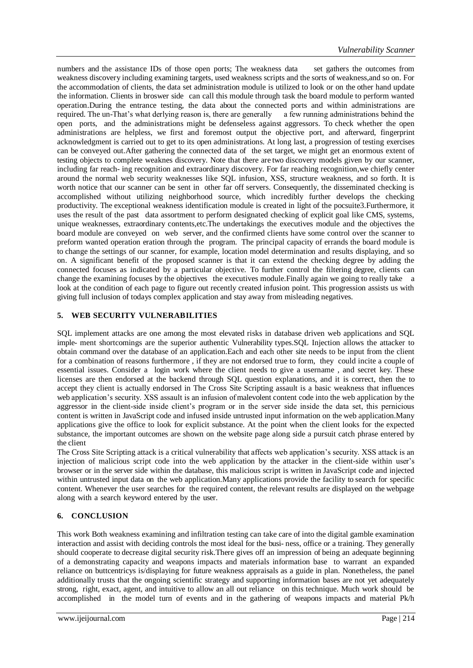numbers and the assistance IDs of those open ports; The weakness data set gathers the outcomes from weakness discovery including examining targets, used weakness scripts and the sorts of weakness,and so on. For the accommodation of clients, the data set administration module is utilized to look or on the other hand update the information. Clients in broswer side can call this module through task the board module to perform wanted operation.During the entrance testing, the data about the connected ports and within administrations are required. The un-That's what derlying reason is, there are generally a few running administrations behind the open ports, and the administrations might be defenseless against aggressors. To check whether the open administrations are helpless, we first and foremost output the objective port, and afterward, fingerprint acknowledgment is carried out to get to its open administrations. At long last, a progression of testing exercises can be conveyed out.After gathering the connected data of the set target, we might get an enormous extent of testing objects to complete weaknes discovery. Note that there are two discovery models given by our scanner, including far reach- ing recognition and extraordinary discovery. For far reaching recognition,we chiefly center around the normal web security weaknesses like SQL infusion, XSS, structure weakness, and so forth. It is worth notice that our scanner can be sent in other far off servers. Consequently, the disseminated checking is accomplished without utilizing neighborhood source, which incredibly further develops the checking productivity. The exceptional weakness identification module is created in light of the pocsuite3.Furthermore, it uses the result of the past data assortment to perform designated checking of explicit goal like CMS, systems, unique weaknesses, extraordinary contents,etc.The undertakings the executives module and the objectives the board module are conveyed on web server, and the confirmed clients have some control over the scanner to preform wanted operation eration through the program. The principal capacity of errands the board module is to change the settings of our scanner, for example, location model determination and results displaying, and so on. A significant benefit of the proposed scanner is that it can extend the checking degree by adding the connected focuses as indicated by a particular objective. To further control the filtering degree, clients can change the examining focuses by the objectives the executives module.Finally again we going to really take a look at the condition of each page to figure out recently created infusion point. This progression assists us with giving full inclusion of todays complex application and stay away from misleading negatives.

# **5. WEB SECURITY VULNERABILITIES**

SQL implement attacks are one among the most elevated risks in database driven web applications and SQL imple- ment shortcomings are the superior authentic Vulnerability types.SQL Injection allows the attacker to obtain command over the database of an application.Each and each other site needs to be input from the client for a combination of reasons furthermore , if they are not endorsed true to form, they could incite a couple of essential issues. Consider a login work where the client needs to give a username , and secret key. These licenses are then endorsed at the backend through SQL question explanations, and it is correct, then the to accept they client is actually endorsed in The Cross Site Scripting assault is a basic weakness that influences web application's security. XSS assault is an infusion ofmalevolent content code into the web application by the aggressor in the client-side inside client's program or in the server side inside the data set, this pernicious content is written in JavaScript code and infused inside untrusted input information on the web application.Many applications give the office to look for explicit substance. At the point when the client looks for the expected substance, the important outcomes are shown on the website page along side a pursuit catch phrase entered by the client

The Cross Site Scripting attack is a critical vulnerability that affects web application's security. XSS attack is an injection of malicious script code into the web application by the attacker in the client-side within user's browser or in the server side within the database, this malicious script is written in JavaScript code and injected within untrusted input data on the web application.Many applications provide the facility to search for specific content. Whenever the user searches for the required content, the relevant results are displayed on the webpage along with a search keyword entered by the user.

# **6. CONCLUSION**

This work Both weakness examining and infiltration testing can take care of into the digital gamble examination interaction and assist with deciding controls the most ideal for the busi- ness, office or a training. They generally should cooperate to decrease digital security risk.There gives off an impression of being an adequate beginning of a demonstrating capacity and weapons impacts and materials information base to warrant an expanded reliance on buttcentricys is/displaying for future weakness appraisals as a guide in plan. Nonetheless, the panel additionally trusts that the ongoing scientific strategy and supporting information bases are not yet adequately strong, right, exact, agent, and intuitive to allow an all out reliance on this technique. Much work should be accomplished in the model turn of events and in the gathering of weapons impacts and material Pk/h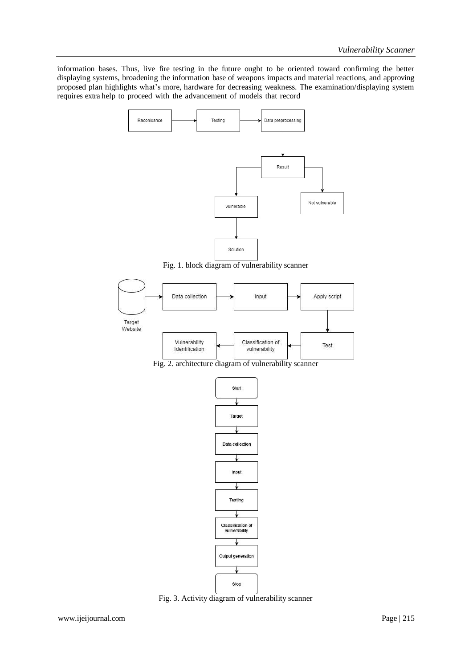information bases. Thus, live fire testing in the future ought to be oriented toward confirming the better displaying systems, broadening the information base of weapons impacts and material reactions, and approving proposed plan highlights what's more, hardware for decreasing weakness. The examination/displaying system requires extra help to proceed with the advancement of models that record



Fig. 1. block diagram of vulnerability scanner



Fig. 2. architecture diagram of vulnerability scanner



Fig. 3. Activity diagram of vulnerability scanner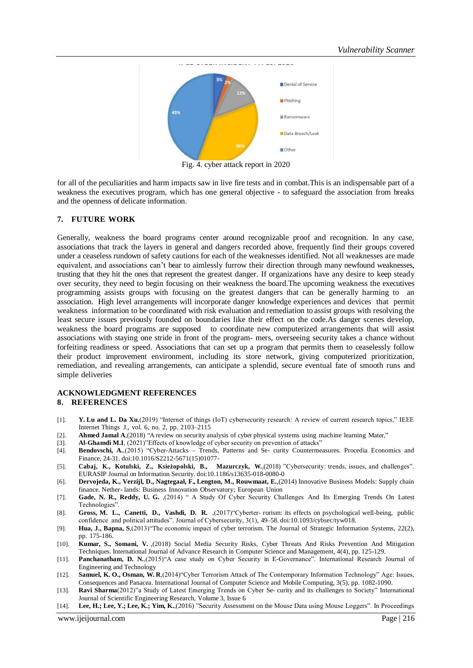

Fig. 4. cyber attack report in 2020

for all of the peculiarities and harm impacts saw in live fire tests and in combat.This is an indispensable part of a weakness the executives program, which has one general objective - to safeguard the association from breaks and the openness of delicate information.

#### **7. FUTURE WORK**

Generally, weakness the board programs center around recognizable proof and recognition. In any case, associations that track the layers in general and dangers recorded above, frequently find their groups covered under a ceaseless rundown of safety cautions for each of the weaknesses identified. Not all weaknesses are made equivalent, and associations can't bear to aimlessly furrow their direction through many newfound weaknesses, trusting that they hit the ones that represent the greatest danger. If organizations have any desire to keep steady over security, they need to begin focusing on their weakness the board.The upcoming weakness the executives programming assists groups with focusing on the greatest dangers that can be generally harming to an association. High level arrangements will incorporate danger knowledge experiences and devices that permit weakness information to be coordinated with risk evaluation and remediation to assist groups with resolving the least secure issues previously founded on boundaries like their effect on the code.As danger scenes develop, weakness the board programs are supposed to coordinate new computerized arrangements that will assist associations with staying one stride in front of the program- mers, overseeing security takes a chance without forfeiting readiness or speed. Associations that can set up a program that permits them to ceaselessly follow their product improvement environment, including its store network, giving computerized prioritization, remediation, and revealing arrangements, can anticipate a splendid, secure eventual fate of smooth runs and simple deliveries

# **ACKNOWLEDGMENT REFERENCES**

#### **8. REFERENCES**

- [1]. **Y. Lu and L. Da Xu**,(2019) "Internet of things (IoT) cybersecurity research: A review of current research topics," IEEE Internet Things J., vol. 6, no. 2, pp. 2103–2115
- [2]. **Ahmed Jamal A**,(2018) "A review on security analysis of cyber physical systems using machine learning Mater,"
- [3]. **Al-Ghamdi M.I**, (2021)"Effects of knowledge of cyber security on prevention of attacks"
- [4]. **Bendovschi, A.**,(2015) "Cyber-Attacks Trends, Patterns and Se- curity Countermeasures. Procedia Economics and Finance, 24-31. doi:10.1016/S2212-5671(15)01077-
- [5]. **Cabaj, K., Kotulski, Z., Ksiez˙opolski, B., Mazurczyk, W.**,(2018) "Cybersecurity: trends, issues, and challenges". EURASIP Journal on Information Security. doi:10.1186/s13635-018-0080-0
- [6]. **Dervojeda, K., Verzijl, D., Nagtegaal, F., Lengton, M., Rouwmaat, E.**,(2014) Innovative Business Models: Supply chain finance. Nether- lands: Business Innovation Observatory; European Union
- [7]. **Gade, N. R., Reddy, U. G.** ,(2014) " A Study Of Cyber Security Challenges And Its Emerging Trends On Latest Technologies".
- [8]. **Gross, M. L., Canetti, D., Vashdi, D. R.** ,(2017)"Cyberter- rorism: its effects on psychological well-being, public confidence and political attitudes". Journal of Cybersecurity, 3(1), 49–58. doi:10.1093/cybsec/tyw018.
- [9]. **Hua, J., Bapna, S**,(2013)"The economic impact of cyber terrorism. The Journal of Strategic Information Systems, 22(2), pp. 175-186.
- [10]. **Kumar, S., Somani, V.** ,(2018) Social Media Security Risks, Cyber Threats And Risks Prevention And Mitigation Techniques. International Journal of Advance Research in Computer Science and Management, 4(4), pp. 125-129.
- [11]. **Panchanatham, D. N.**,(2015)"A case study on Cyber Security in E-Governance". International Research Journal of Engineering and Technology
- [12]. **Samuel, K. O., Osman, W. R**,(2014)"Cyber Terrorism Attack of The Contemporary Information Technology" Age: Issues, Consequences and Panacea. International Journal of Computer Science and Mobile Computing, 3(5), pp. 1082-1090.
- [13]. **Ravi Sharma**(2012)"a Study of Latest Emerging Trends on Cyber Se- curity and its challenges to Society" International Journal of Scientific Engineering Research, Volume 3, Issue 6
- [14]. **Lee, H.; Lee, Y.; Lee, K.; Yim, K.**,(2016) "Security Assessment on the Mouse Data using Mouse Loggers". In Proceedings